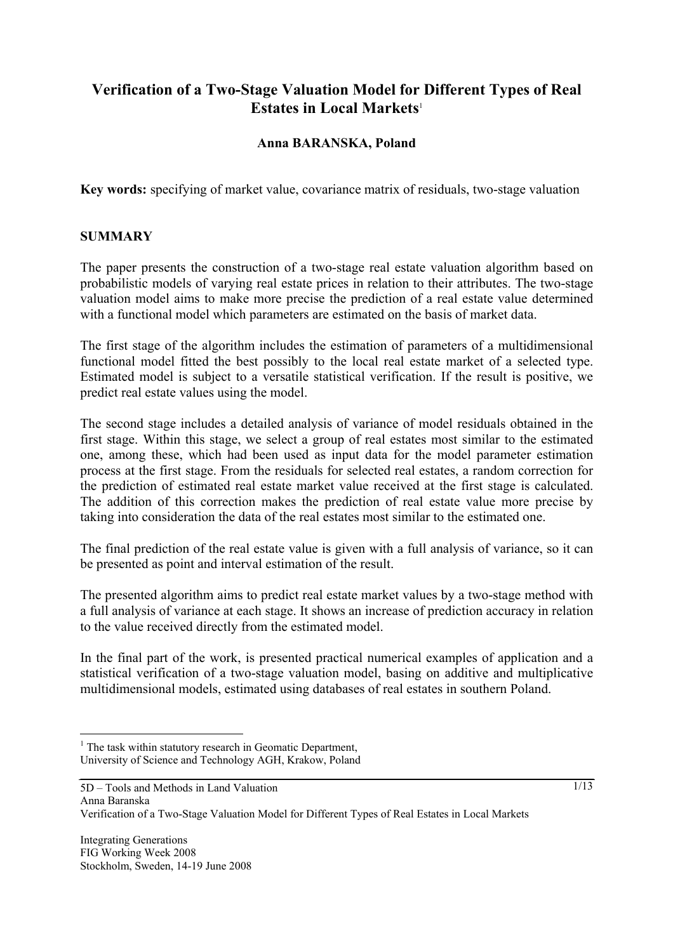# **Verification of a Two-Stage Valuation Model for Different Types of Real Estates in Local Markets**<sup>1</sup>

# **Anna BARANSKA, Poland**

**Key words:** specifying of market value, covariance matrix of residuals, two-stage valuation

#### **SUMMARY**

The paper presents the construction of a two-stage real estate valuation algorithm based on probabilistic models of varying real estate prices in relation to their attributes. The two-stage valuation model aims to make more precise the prediction of a real estate value determined with a functional model which parameters are estimated on the basis of market data.

The first stage of the algorithm includes the estimation of parameters of a multidimensional functional model fitted the best possibly to the local real estate market of a selected type. Estimated model is subject to a versatile statistical verification. If the result is positive, we predict real estate values using the model.

The second stage includes a detailed analysis of variance of model residuals obtained in the first stage. Within this stage, we select a group of real estates most similar to the estimated one, among these, which had been used as input data for the model parameter estimation process at the first stage. From the residuals for selected real estates, a random correction for the prediction of estimated real estate market value received at the first stage is calculated. The addition of this correction makes the prediction of real estate value more precise by taking into consideration the data of the real estates most similar to the estimated one.

The final prediction of the real estate value is given with a full analysis of variance, so it can be presented as point and interval estimation of the result.

The presented algorithm aims to predict real estate market values by a two-stage method with a full analysis of variance at each stage. It shows an increase of prediction accuracy in relation to the value received directly from the estimated model.

In the final part of the work, is presented practical numerical examples of application and a statistical verification of a two-stage valuation model, basing on additive and multiplicative multidimensional models, estimated using databases of real estates in southern Poland.

 $\overline{a}$ 

 $\frac{1}{1}$ 

<sup>&</sup>lt;sup>1</sup> The task within statutory research in Geomatic Department, University of Science and Technology AGH, Krakow, Poland

<sup>5</sup>D – Tools and Methods in Land Valuation Anna Baranska Verification of a Two-Stage Valuation Model for Different Types of Real Estates in Local Markets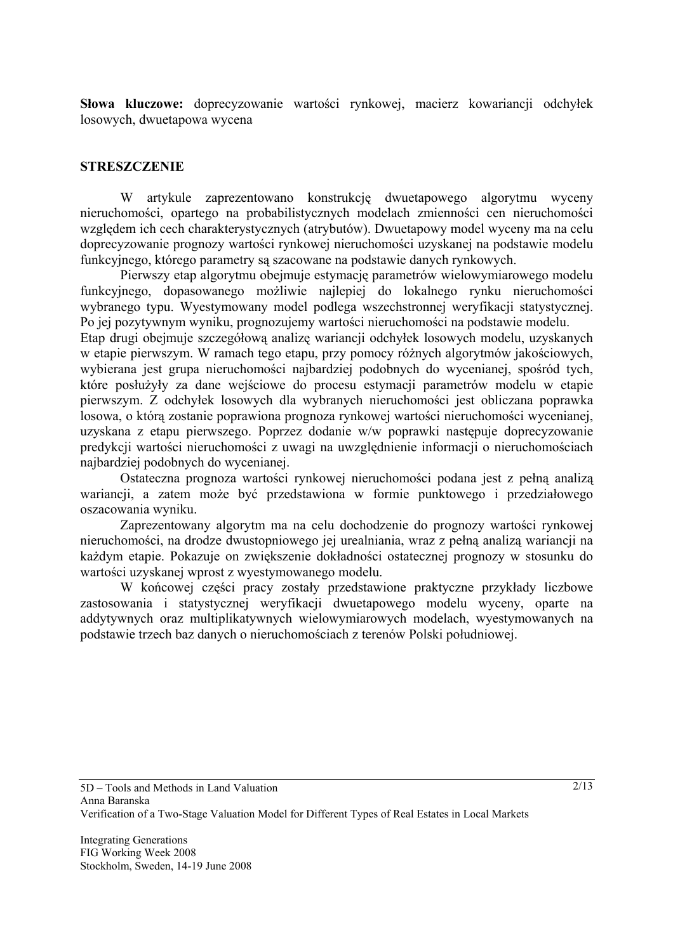**Słowa kluczowe:** doprecyzowanie wartości rynkowej, macierz kowariancji odchyłek losowych, dwuetapowa wycena

#### **STRESZCZENIE**

 W artykule zaprezentowano konstrukcję dwuetapowego algorytmu wyceny nieruchomości, opartego na probabilistycznych modelach zmienności cen nieruchomości względem ich cech charakterystycznych (atrybutów). Dwuetapowy model wyceny ma na celu doprecyzowanie prognozy wartości rynkowej nieruchomości uzyskanej na podstawie modelu funkcyjnego, którego parametry są szacowane na podstawie danych rynkowych.

 Pierwszy etap algorytmu obejmuje estymację parametrów wielowymiarowego modelu funkcyjnego, dopasowanego możliwie najlepiej do lokalnego rynku nieruchomości wybranego typu. Wyestymowany model podlega wszechstronnej weryfikacji statystycznej. Po jej pozytywnym wyniku, prognozujemy wartości nieruchomości na podstawie modelu.

Etap drugi obejmuje szczegółową analizę wariancji odchyłek losowych modelu, uzyskanych w etapie pierwszym. W ramach tego etapu, przy pomocy różnych algorytmów jakościowych, wybierana jest grupa nieruchomości najbardziej podobnych do wycenianej, spośród tych, które posłużyły za dane wejściowe do procesu estymacji parametrów modelu w etapie pierwszym. Z odchyłek losowych dla wybranych nieruchomości jest obliczana poprawka losowa, o którą zostanie poprawiona prognoza rynkowej wartości nieruchomości wycenianej, uzyskana z etapu pierwszego. Poprzez dodanie w/w poprawki następuje doprecyzowanie predykcji wartości nieruchomości z uwagi na uwzględnienie informacji o nieruchomościach najbardziej podobnych do wycenianej.

 Ostateczna prognoza wartości rynkowej nieruchomości podana jest z pełną analizą wariancji, a zatem może być przedstawiona w formie punktowego i przedziałowego oszacowania wyniku.

 Zaprezentowany algorytm ma na celu dochodzenie do prognozy wartości rynkowej nieruchomości, na drodze dwustopniowego jej urealniania, wraz z pełną analizą wariancji na każdym etapie. Pokazuje on zwiększenie dokładności ostatecznej prognozy w stosunku do wartości uzyskanej wprost z wyestymowanego modelu.

 W końcowej części pracy zostały przedstawione praktyczne przykłady liczbowe zastosowania i statystycznej weryfikacji dwuetapowego modelu wyceny, oparte na addytywnych oraz multiplikatywnych wielowymiarowych modelach, wyestymowanych na podstawie trzech baz danych o nieruchomościach z terenów Polski południowej.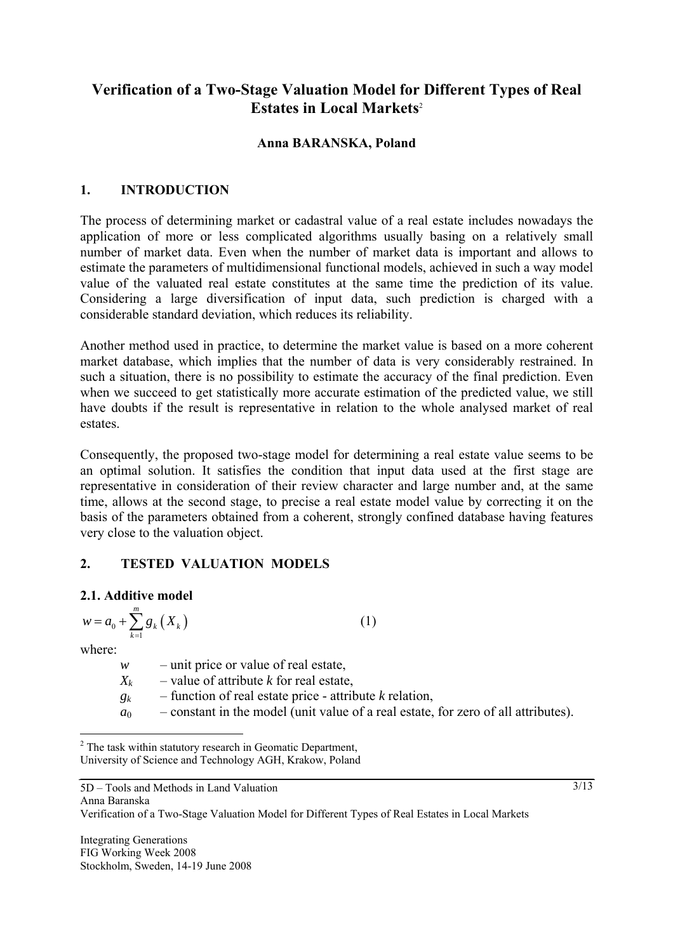# **Verification of a Two-Stage Valuation Model for Different Types of Real Estates in Local Markets**<sup>2</sup>

## **Anna BARANSKA, Poland**

## **1. INTRODUCTION**

The process of determining market or cadastral value of a real estate includes nowadays the application of more or less complicated algorithms usually basing on a relatively small number of market data. Even when the number of market data is important and allows to estimate the parameters of multidimensional functional models, achieved in such a way model value of the valuated real estate constitutes at the same time the prediction of its value. Considering a large diversification of input data, such prediction is charged with a considerable standard deviation, which reduces its reliability.

Another method used in practice, to determine the market value is based on a more coherent market database, which implies that the number of data is very considerably restrained. In such a situation, there is no possibility to estimate the accuracy of the final prediction. Even when we succeed to get statistically more accurate estimation of the predicted value, we still have doubts if the result is representative in relation to the whole analysed market of real estates.

Consequently, the proposed two-stage model for determining a real estate value seems to be an optimal solution. It satisfies the condition that input data used at the first stage are representative in consideration of their review character and large number and, at the same time, allows at the second stage, to precise a real estate model value by correcting it on the basis of the parameters obtained from a coherent, strongly confined database having features very close to the valuation object.

# **2. TESTED VALUATION MODELS**

## **2.1. Additive model**

$$
w = a_0 + \sum_{k=1}^{m} g_k(X_k)
$$
 (1)

where:

 $\overline{a}$ 

 $w$  – unit price or value of real estate,

- $X_k$  value of attribute *k* for real estate,
- $g_k$  function of real estate price attribute *k* relation,
- $a_0$  constant in the model (unit value of a real estate, for zero of all attributes).

Anna Baranska Verification of a Two-Stage Valuation Model for Different Types of Real Estates in Local Markets

Integrating Generations FIG Working Week 2008 Stockholm, Sweden, 14-19 June 2008

5D – Tools and Methods in Land Valuation

 $\frac{3}{13}$ 

 $2^2$  The task within statutory research in Geomatic Department, University of Science and Technology AGH, Krakow, Poland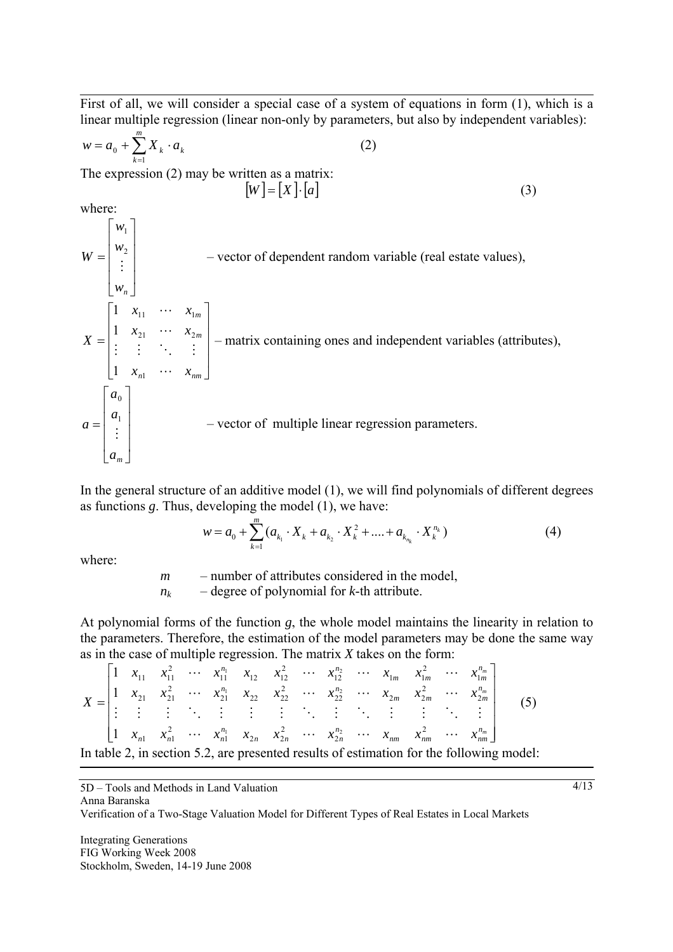First of all, we will consider a special case of a system of equations in form (1), which is a linear multiple regression (linear non-only by parameters, but also by independent variables):

$$
w = a_0 + \sum_{k=1}^{m} X_k \cdot a_k \tag{2}
$$

The expression (2) may be written as a matrix:

$$
[W] = [X] \cdot [a] \tag{3}
$$

where:

 $\overline{\phantom{a}}$  $\overline{\phantom{a}}$  $\overline{\phantom{a}}$  $\overline{\phantom{a}}$ ⎦ ⎤  $\mathsf{I}$  $\mathsf{L}$  $\mathsf{L}$ ⎣  $\mathsf{L}$ = *wn w w*  $W = \begin{pmatrix} w_2 \\ \vdots \end{pmatrix}$ 1 – vector of dependent random variable (real estate values),  $\overline{\phantom{a}}$  $\overline{\phantom{a}}$  $\overline{\phantom{a}}$  $\overline{\phantom{a}}$ ⎦  $\overline{\phantom{a}}$  $\mathsf{I}$  $\mathsf{L}$  $\mathsf{L}$  $\mathsf{L}$ ⎣  $\mathsf{L}$ = *n n*  $\lambda$ <sub>*nm*</sub> *m m*  $x_{n1}$   $\cdots$  *x*  $x_{21}$   $\cdots$  *x*  $x_{11}$   $\cdots$   $x$ *X*  $\ddots$  $\mathcal{O}(\mathcal{O}(\log n))$  $\ddots$  $\ddots$ 1 21  $\cdots$   $\lambda_2$ 11  $\mathcal{M}_1$ 1 1 1 – matrix containing ones and independent variables (attributes),  $\overline{\phantom{a}}$  $\overline{\phantom{a}}$  $\overline{\phantom{a}}$  $\overline{\phantom{a}}$ ⎦ ⎤  $\mathsf{L}$  $\mathsf{L}$  $\mathsf{L}$  $\mathsf{L}$ ⎣  $\mathsf{L}$ = *am a a*  $a = \begin{pmatrix} a_1 \\ a_2 \end{pmatrix}$ 0 – vector of multiple linear regression parameters.

In the general structure of an additive model (1), we will find polynomials of different degrees as functions *g*. Thus, developing the model (1), we have:

$$
w = a_0 + \sum_{k=1}^{m} (a_{k_1} \cdot X_k + a_{k_2} \cdot X_k^2 + \dots + a_{k_{n_k}} \cdot X_k^{n_k})
$$
(4)

where:

*m* – number of attributes considered in the model,

 $n_k$  – degree of polynomial for *k*-th attribute.

At polynomial forms of the function *g*, the whole model maintains the linearity in relation to the parameters. Therefore, the estimation of the model parameters may be done the same way as in the case of multiple regression. The matrix *X* takes on the form:

|  |  |  |  |  |  |  | $\begin{vmatrix} 1 & x_{11} & x_{11}^2 & \cdots & x_{11}^{n_1} & x_{12} & x_{12}^2 & \cdots & x_{12}^{n_2} & \cdots & x_{1m} & x_{1m}^2 & \cdots & x_{1m}^{n_m} \end{vmatrix}$                                                                                                                           |                                                                                          |
|--|--|--|--|--|--|--|----------------------------------------------------------------------------------------------------------------------------------------------------------------------------------------------------------------------------------------------------------------------------------------------------------|------------------------------------------------------------------------------------------|
|  |  |  |  |  |  |  |                                                                                                                                                                                                                                                                                                          |                                                                                          |
|  |  |  |  |  |  |  | $X = \begin{bmatrix} 1 & x_{21} & x_{21}^2 & \cdots & x_{21}^{n_1} & x_{22} & x_{22}^2 & \cdots & x_{22}^{n_2} & \cdots & x_{2m} & x_{2m}^2 & \cdots & x_{2m}^{n_m} \\ \vdots & \vdots & \vdots & \ddots & \vdots & \vdots & \ddots & \vdots & \ddots & \vdots & \vdots & \ddots & \vdots \end{bmatrix}$ |                                                                                          |
|  |  |  |  |  |  |  | $\begin{bmatrix} 1 & x_{n1} & x_{n1}^2 & \cdots & x_{n1}^{n_1} & x_{n2} & \cdots & x_{n2}^{n_2} & \cdots & x_{nm} & x_{nm}^2 & \cdots & x_{nm}^{n_m} \end{bmatrix}$                                                                                                                                      |                                                                                          |
|  |  |  |  |  |  |  |                                                                                                                                                                                                                                                                                                          | In table 2, in section 5.2, are presented results of estimation for the following model: |

5D – Tools and Methods in Land Valuation

Anna Baranska

Verification of a Two-Stage Valuation Model for Different Types of Real Estates in Local Markets

Integrating Generations FIG Working Week 2008 Stockholm, Sweden, 14-19 June 2008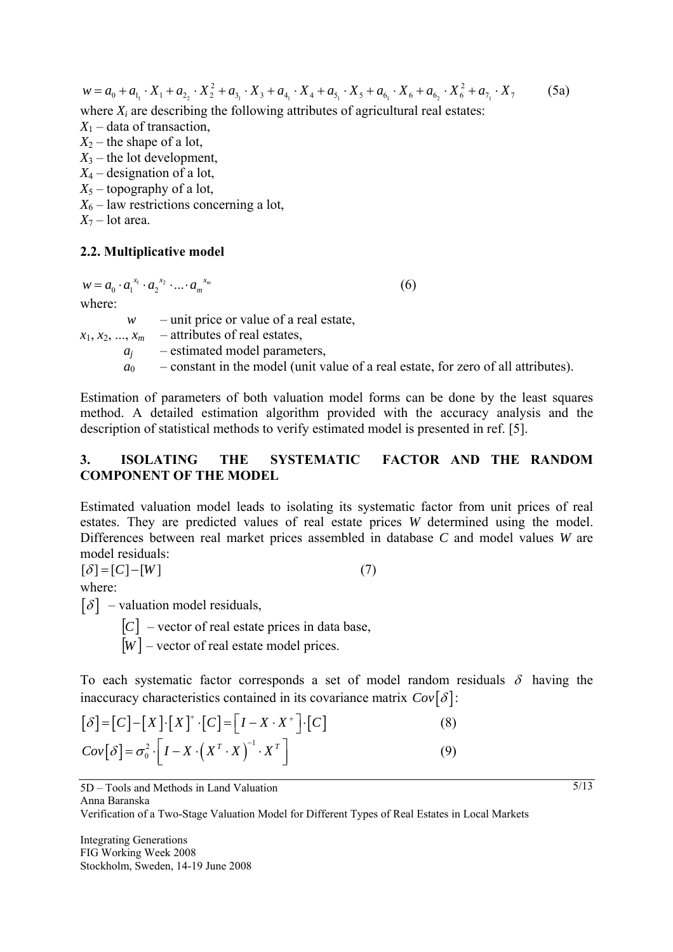$w = a_0 + a_{1_1} \cdot X_1 + a_{2_2} \cdot X_2^2 + a_{3_1} \cdot X_3 + a_{4_1} \cdot X_4 + a_{5_1} \cdot X_5 + a_{6_1} \cdot X_6 + a_{6_2} \cdot X_6^2 + a_{7_1} \cdot X_7$  (5a) where  $X_i$  are describing the following attributes of agricultural real estates:  $X_1$  – data of transaction,  $X_2$  – the shape of a lot,  $X_3$  – the lot development, *X*4 – designation of a lot,  $X_5$  – topography of a lot,  $X_6$  – law restrictions concerning a lot,  $X_7$  – lot area.

#### **2.2. Multiplicative model**

 $w = a_0 \cdot a_1^{x_1} \cdot a_2^{x_2} \cdot ... \cdot a_m^{x_m}$  (6)

where:

 *w* – unit price or value of a real estate,  $x_1, x_2, ..., x_m$  – attributes of real estates, *aj* – estimated model parameters,  $a_0$  – constant in the model (unit value of a real estate, for zero of all attributes).

Estimation of parameters of both valuation model forms can be done by the least squares method. A detailed estimation algorithm provided with the accuracy analysis and the description of statistical methods to verify estimated model is presented in ref. [5].

## **3. ISOLATING THE SYSTEMATIC FACTOR AND THE RANDOM COMPONENT OF THE MODEL**

Estimated valuation model leads to isolating its systematic factor from unit prices of real estates. They are predicted values of real estate prices *W* determined using the model. Differences between real market prices assembled in database *C* and model values *W* are model residuals:

 $[\delta] = [C] - [W]$  (7) where:

 $\lceil \delta \rceil$  – valuation model residuals,

 $[C]$  – vector of real estate prices in data base,

 $\overline{[W]}$  – vector of real estate model prices.

To each systematic factor corresponds a set of model random residuals  $\delta$  having the inaccuracy characteristics contained in its covariance matrix  $Cov[\delta]$ :

$$
[\delta] = [C] - [X] \cdot [X]^+ \cdot [C] = [I - X \cdot X^+] \cdot [C]
$$
\n
$$
Cov[\delta] = \sigma_0^2 \cdot [I - X \cdot (X^T \cdot X)]^{-1} \cdot X^T
$$
\n(9)

5D – Tools and Methods in Land Valuation

Anna Baranska

Verification of a Two-Stage Valuation Model for Different Types of Real Estates in Local Markets

Integrating Generations FIG Working Week 2008 Stockholm, Sweden, 14-19 June 2008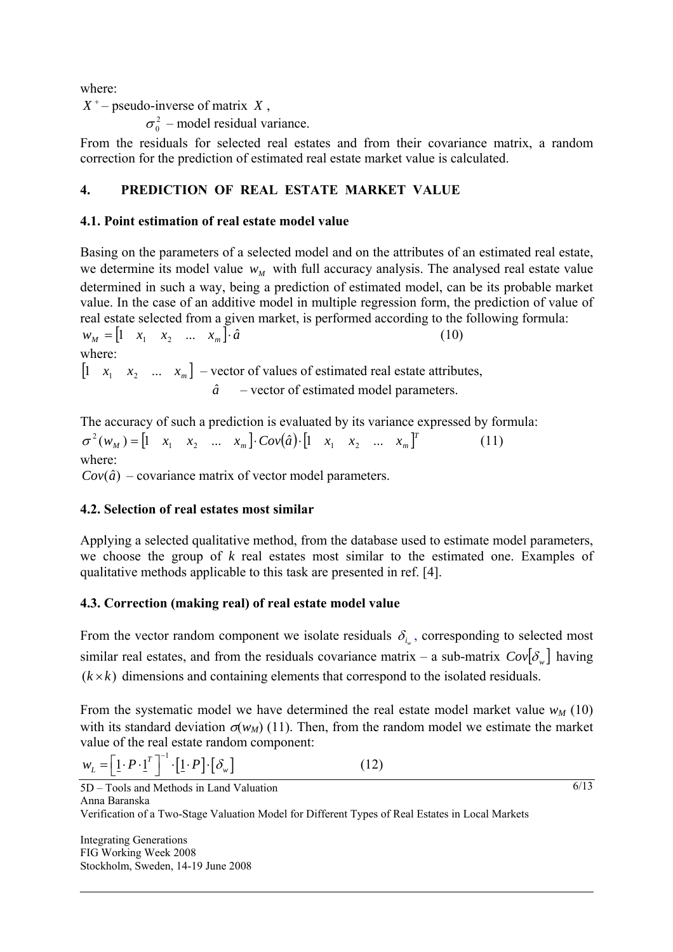where:

 $X^+$  – pseudo-inverse of matrix  $X$ ,

 $\sigma_0^2$  – model residual variance.

From the residuals for selected real estates and from their covariance matrix, a random correction for the prediction of estimated real estate market value is calculated.

# **4. PREDICTION OF REAL ESTATE MARKET VALUE**

# **4.1. Point estimation of real estate model value**

Basing on the parameters of a selected model and on the attributes of an estimated real estate, we determine its model value  $w<sub>M</sub>$  with full accuracy analysis. The analysed real estate value determined in such a way, being a prediction of estimated model, can be its probable market value. In the case of an additive model in multiple regression form, the prediction of value of real estate selected from a given market, is performed according to the following formula:  $w_M = \begin{bmatrix} 1 & x_1 & x_2 & \dots & x_m \end{bmatrix} \cdot \hat{a}$  (10) where:  $\begin{bmatrix} 1 & x_1 & x_2 & ... & x_m \end{bmatrix}$  – vector of values of estimated real estate attributes,  $\hat{a}$  – vector of estimated model parameters.

The accuracy of such a prediction is evaluated by its variance expressed by formula:  $\sigma^2(w_M) = \begin{bmatrix} 1 & x_1 & x_2 & \dots & x_m \end{bmatrix} \cdot Cov(\hat{a}) \cdot \begin{bmatrix} 1 & x_1 & x_2 & \dots & x_m \end{bmatrix}^T$  (11) where:  $Cov(\hat{a})$  – covariance matrix of vector model parameters.

# **4.2. Selection of real estates most similar**

Applying a selected qualitative method, from the database used to estimate model parameters, we choose the group of *k* real estates most similar to the estimated one. Examples of qualitative methods applicable to this task are presented in ref. [4].

# **4.3. Correction (making real) of real estate model value**

From the vector random component we isolate residuals  $\delta_i$ , corresponding to selected most similar real estates, and from the residuals covariance matrix – a sub-matrix  $Cov[\delta_{w}]$  having  $(k \times k)$  dimensions and containing elements that correspond to the isolated residuals.

From the systematic model we have determined the real estate model market value  $w_M$  (10) with its standard deviation  $\sigma(w_M)$  (11). Then, from the random model we estimate the market value of the real estate random component:

$$
w_L = \left[ \underline{1} \cdot P \cdot \underline{1}^T \right]^{-1} \cdot \left[ \underline{1} \cdot P \right] \cdot \left[ \delta_w \right] \tag{12}
$$

6/13

5D – Tools and Methods in Land Valuation Anna Baranska Verification of a Two-Stage Valuation Model for Different Types of Real Estates in Local Markets

Integrating Generations FIG Working Week 2008 Stockholm, Sweden, 14-19 June 2008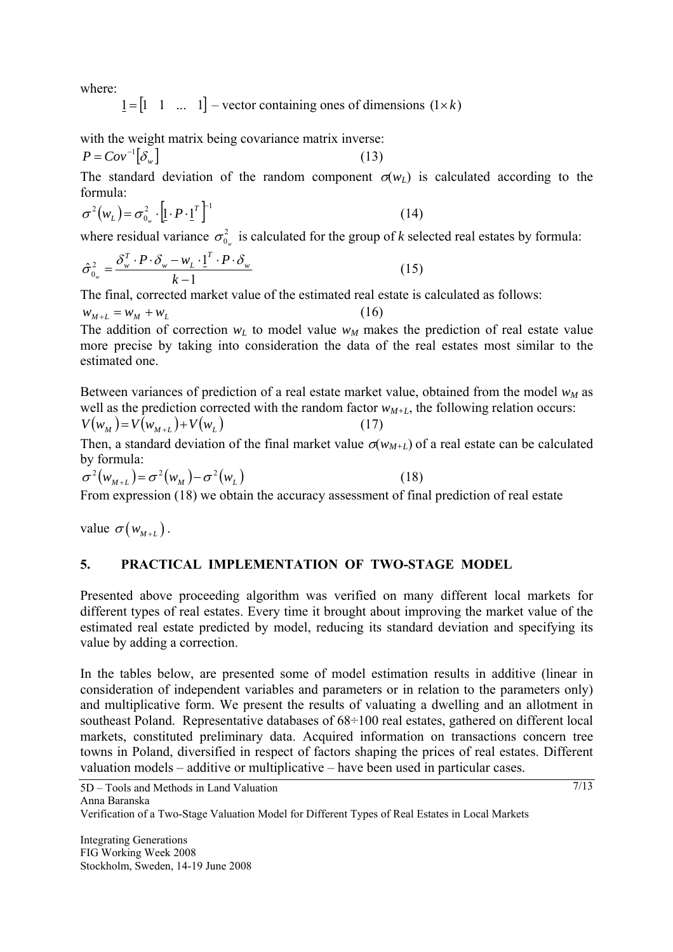where:

 $1 = \begin{bmatrix} 1 & 1 & \dots & 1 \end{bmatrix}$  – vector containing ones of dimensions  $(1 \times k)$ 

with the weight matrix being covariance matrix inverse:

$$
P = Cov^{-1} \big[ \delta_w \big] \tag{13}
$$

The standard deviation of the random component  $\sigma(w_L)$  is calculated according to the formula:

$$
\sigma^2(w_L) = \sigma_{0_w}^2 \cdot \left[ \underline{\mathbf{1}} \cdot P \cdot \underline{\mathbf{1}}^T \right]^{-1} \tag{14}
$$

where residual variance  $\sigma_{0_{w}}^{2}$  is calculated for the group of *k* selected real estates by formula:

$$
\hat{\sigma}_{0_w}^2 = \frac{\delta_w^T \cdot P \cdot \delta_w - w_L \cdot 1^T \cdot P \cdot \delta_w}{k - 1}
$$
\n(15)

The final, corrected market value of the estimated real estate is calculated as follows:

 $w_{M+L} = w_M + w_L$  (16) The addition of correction  $w_l$  to model value  $w_M$  makes the prediction of real estate value more precise by taking into consideration the data of the real estates most similar to the estimated one.

Between variances of prediction of a real estate market value, obtained from the model  $w_M$  as well as the prediction corrected with the random factor  $w_{M+L}$ , the following relation occurs:  $V(w_M) = V(w_{M+L}) + V(w_L)$  (17)

Then, a standard deviation of the final market value  $\sigma(w_{M+L})$  of a real estate can be calculated by formula:

$$
\sigma^2(w_{M+L}) = \sigma^2(w_M) - \sigma^2(w_L)
$$
\n<sup>(18)</sup>

From expression (18) we obtain the accuracy assessment of final prediction of real estate

value  $\sigma(w_{M+L})$ .

# **5. PRACTICAL IMPLEMENTATION OF TWO-STAGE MODEL**

Presented above proceeding algorithm was verified on many different local markets for different types of real estates. Every time it brought about improving the market value of the estimated real estate predicted by model, reducing its standard deviation and specifying its value by adding a correction.

In the tables below, are presented some of model estimation results in additive (linear in consideration of independent variables and parameters or in relation to the parameters only) and multiplicative form. We present the results of valuating a dwelling and an allotment in southeast Poland. Representative databases of 68÷100 real estates, gathered on different local markets, constituted preliminary data. Acquired information on transactions concern tree towns in Poland, diversified in respect of factors shaping the prices of real estates. Different valuation models – additive or multiplicative – have been used in particular cases.

Verification of a Two-Stage Valuation Model for Different Types of Real Estates in Local Markets

Integrating Generations FIG Working Week 2008 Stockholm, Sweden, 14-19 June 2008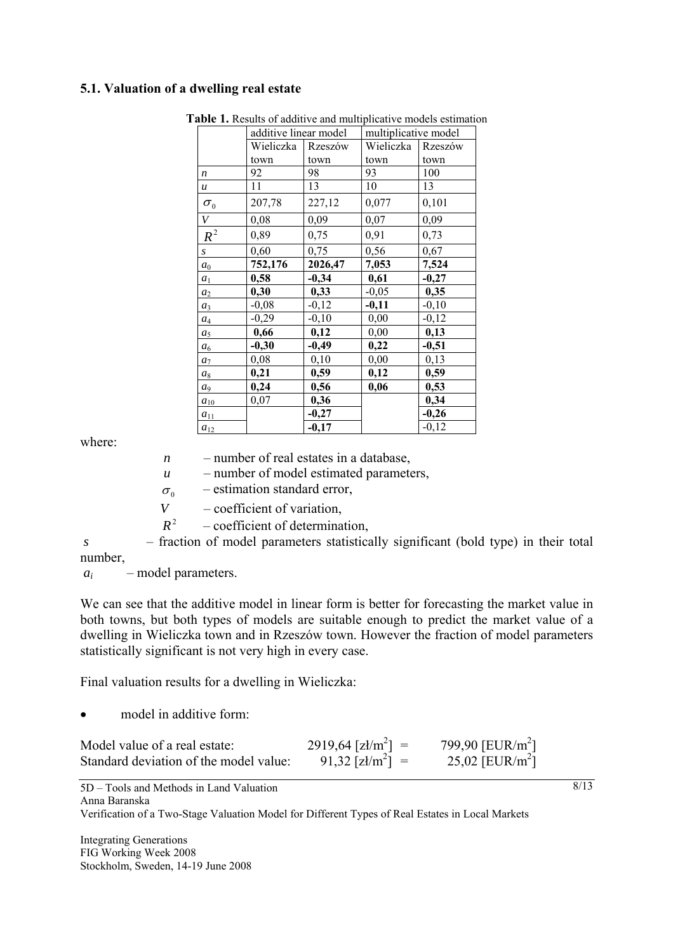## **5.1. Valuation of a dwelling real estate**

|                                 | additive linear model |         | multiplicative model |         |  |
|---------------------------------|-----------------------|---------|----------------------|---------|--|
|                                 | Wieliczka             | Rzeszów | Wieliczka            | Rzeszów |  |
|                                 | town                  | town    | town                 | town    |  |
| $\boldsymbol{n}$                | 92                    | 98      | 93                   | 100     |  |
| $\boldsymbol{u}$                | 11                    | 13      | 10                   | 13      |  |
| $\sigma_{\scriptscriptstyle 0}$ | 207,78                | 227,12  | 0,077                | 0,101   |  |
| $\bar{V}$                       | 0,08                  | 0,09    | 0,07                 | 0,09    |  |
| $R^2$                           | 0,89                  | 0,75    | 0,91                 | 0,73    |  |
| S                               | 0,60                  | 0,75    | 0,56                 | 0,67    |  |
| $a_0$                           | 752,176               | 2026,47 | 7,053                | 7,524   |  |
| $a_1$                           | 0,58                  | $-0,34$ | 0,61                 | $-0,27$ |  |
| $a_2$                           | 0,30                  | 0,33    | $-0,05$              | 0,35    |  |
| $a_3$                           | $-0,08$               | $-0,12$ | $-0,11$              | $-0,10$ |  |
| $a_4$                           | $-0,29$               | $-0,10$ | 0,00                 | $-0,12$ |  |
| a <sub>5</sub>                  | 0,66                  | 0,12    | 0,00                 | 0,13    |  |
| a <sub>6</sub>                  | $-0,30$               | $-0,49$ | 0,22                 | $-0,51$ |  |
| $a_7$                           | 0,08                  | 0,10    | 0,00                 | 0,13    |  |
| $a_8$                           | 0,21                  | 0,59    | 0,12                 | 0,59    |  |
| a <sub>9</sub>                  | 0,24                  | 0,56    | 0,06                 | 0,53    |  |
| $a_{10}$                        | 0,07                  | 0,36    |                      | 0,34    |  |
| $a_{11}$                        |                       | $-0,27$ |                      | $-0,26$ |  |
| $a_{12}$                        |                       | $-0,17$ |                      | $-0,12$ |  |

**Table 1.** Results of additive and multiplicative models estimation

where:

*n* – number of real estates in a database,

*u* – number of model estimated parameters,

 $\sigma_0$  – estimation standard error,

*V* – coefficient of variation,

 $R^2$  – coefficient of determination,

 *s* – fraction of model parameters statistically significant (bold type) in their total number,

 *ai* – model parameters.

We can see that the additive model in linear form is better for forecasting the market value in both towns, but both types of models are suitable enough to predict the market value of a dwelling in Wieliczka town and in Rzeszów town. However the fraction of model parameters statistically significant is not very high in every case.

Final valuation results for a dwelling in Wieliczka:

model in additive form:

| Model value of a real estate:          | $2919,64$ [zł/m <sup>2</sup> ] = | 799,90 [ $EUR/m2$ ] |
|----------------------------------------|----------------------------------|---------------------|
| Standard deviation of the model value: | $91,32$ [zł/m <sup>2</sup> ] =   | 25,02 [ $EUR/m^2$ ] |

5D – Tools and Methods in Land Valuation Anna Baranska

Verification of a Two-Stage Valuation Model for Different Types of Real Estates in Local Markets

Integrating Generations FIG Working Week 2008 Stockholm, Sweden, 14-19 June 2008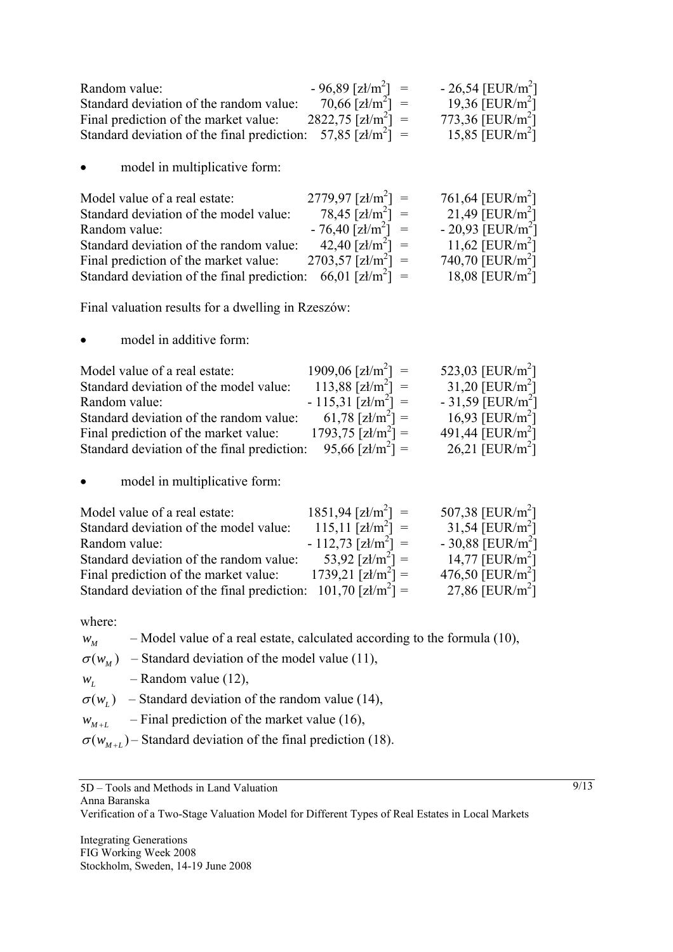| Random value:                                                            | $-96,89$ [zł/m <sup>2</sup> ] =  | $-26,54$ [EUR/m <sup>2</sup> ] |
|--------------------------------------------------------------------------|----------------------------------|--------------------------------|
| Standard deviation of the random value:                                  | $70,66$ [zł/m <sup>2</sup> ] =   | 19,36 [ $EUR/m2$ ]             |
| Final prediction of the market value:                                    | $2822.75$ [zł/m <sup>2</sup> ] = | 773,36 [EUR/m <sup>2</sup> ]   |
| Standard deviation of the final prediction: 57,85 [ $z\frac{1}{m^2}$ ] = |                                  | 15,85 [EUR/m <sup>2</sup> ]    |

model in multiplicative form:

| Model value of a real estate:                                              | $2779.97$ [zł/m <sup>2</sup> ] = | 761,64 [ $EUR/m^2$ ]           |
|----------------------------------------------------------------------------|----------------------------------|--------------------------------|
| Standard deviation of the model value:                                     | $78,45$ [zł/m <sup>2</sup> ] =   | 21,49 [EUR/m <sup>2</sup> ]    |
| Random value:                                                              | $-76,40$ [zł/m <sup>2</sup> ] =  | $-20.93$ [EUR/m <sup>2</sup> ] |
| Standard deviation of the random value:                                    | $42,40$ [zł/m <sup>2</sup> ] =   | 11,62 [EUR/m <sup>2</sup> ]    |
| Final prediction of the market value:                                      | $2703,57$ [zł/m <sup>2</sup> ] = | 740,70 [ $EUR/m2$ ]            |
| Standard deviation of the final prediction: $66,01$ [zł/m <sup>2</sup> ] = |                                  | 18,08 [ $EUR/m^2$ ]            |

Final valuation results for a dwelling in Rzeszów:

• model in additive form:

| Model value of a real estate:               | $1909,06$ [zł/m <sup>2</sup> ] = | 523,03 [EUR/m <sup>2</sup> ]   |
|---------------------------------------------|----------------------------------|--------------------------------|
| Standard deviation of the model value:      | $113,88$ [zł/m <sup>2</sup> ] =  | 31,20 [EUR/m <sup>2</sup> ]    |
| Random value:                               | $-115,31$ [zł/m <sup>2</sup> ] = | $-31,59$ [EUR/m <sup>2</sup> ] |
| Standard deviation of the random value:     | 61,78 [zł/m <sup>2</sup> ] =     | 16,93 [ $EUR/m^2$ ]            |
| Final prediction of the market value:       | $1793,75$ [zł/m <sup>2</sup> ] = | 491,44 [ $EUR/m2$ ]            |
| Standard deviation of the final prediction: | $95,66$ [zł/m <sup>2</sup> ] =   | 26,21 [ $EUR/m^2$ ]            |

• model in multiplicative form:

| Model value of a real estate:                                               | $1851,94$ [zł/m <sup>2</sup> ] = | 507,38 [EUR/m <sup>2</sup> ]   |
|-----------------------------------------------------------------------------|----------------------------------|--------------------------------|
| Standard deviation of the model value:                                      | $115.11$ [zł/m <sup>2</sup> ] =  | 31,54 [EUR/m <sup>2</sup> ]    |
| Random value:                                                               | $-112,73$ [zł/m <sup>2</sup> ] = | $-30,88$ [EUR/m <sup>2</sup> ] |
| Standard deviation of the random value:                                     | 53,92 [ $z1/m^2$ ] =             | 14,77 [ $EUR/m2$ ]             |
| Final prediction of the market value:                                       | $1739,21$ [zł/m <sup>2</sup> ] = | 476,50 [EUR/m <sup>2</sup> ]   |
| Standard deviation of the final prediction: $101,70$ [zł/m <sup>2</sup> ] = |                                  | 27,86 [ $EUR/m^2$ ]            |

where:

 $w_M$  – Model value of a real estate, calculated according to the formula (10),

 $\sigma(w_M)$  – Standard deviation of the model value (11),

 $w_l$  – Random value (12),

 $\sigma(w_i)$  – Standard deviation of the random value (14),

 $w_{M+L}$  – Final prediction of the market value (16),

 $\sigma(w_{M+L})$  – Standard deviation of the final prediction (18).

Verification of a Two-Stage Valuation Model for Different Types of Real Estates in Local Markets

Integrating Generations FIG Working Week 2008 Stockholm, Sweden, 14-19 June 2008

<sup>5</sup>D – Tools and Methods in Land Valuation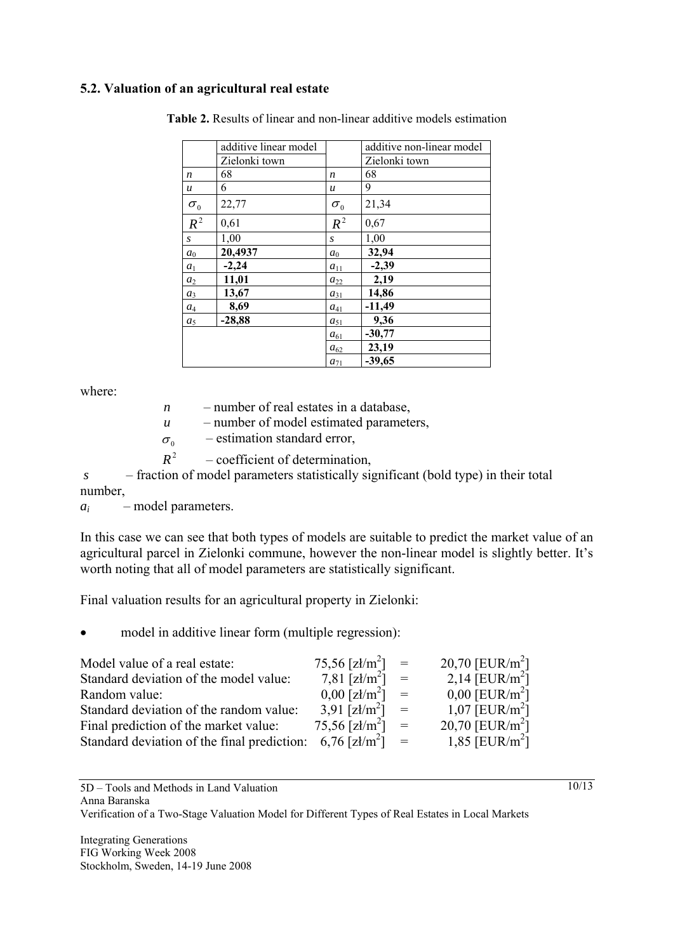## **5.2. Valuation of an agricultural real estate**

|                  | additive linear model |                  | additive non-linear model |
|------------------|-----------------------|------------------|---------------------------|
|                  | Zielonki town         |                  | Zielonki town             |
| $\boldsymbol{n}$ | 68                    | n                | 68                        |
| $\boldsymbol{u}$ | 6                     | $\boldsymbol{u}$ | 9                         |
| $\sigma_{0}$     | 22,77                 | $\sigma_{0}$     | 21,34                     |
| $R^2$            | 0,61                  | $R^2$            | 0,67                      |
| S                | 1,00                  | S                | 1,00                      |
| $a_0$            | 20,4937               | $a_0$            | 32,94                     |
| $a_1$            | $-2,24$               | $a_{11}$         | $-2,39$                   |
| a <sub>2</sub>   | 11,01                 | $a_{22}$         | 2,19                      |
| $a_3$            | 13,67                 | $a_{31}$         | 14,86                     |
| $a_4$            | 8,69                  | $a_{41}$         | $-11,49$                  |
| a <sub>5</sub>   | $-28,88$              | $a_{51}$         | 9,36                      |
|                  |                       | $a_{61}$         | $-30,77$                  |
|                  |                       | $a_{62}$         | 23,19                     |
|                  |                       | $a_{71}$         | $-39,65$                  |

**Table 2.** Results of linear and non-linear additive models estimation

where:

| n                 | - number of real estates in a database,                  |  |  |  |  |
|-------------------|----------------------------------------------------------|--|--|--|--|
| u                 | - number of model estimated parameters,                  |  |  |  |  |
| $\sigma_{\alpha}$ | - estimation standard error,                             |  |  |  |  |
| $R^2$             | - coefficient of determination,                          |  |  |  |  |
|                   | $\alpha$ 11 $\beta$ $\beta$ 11 $\gamma$ $\alpha$ $\beta$ |  |  |  |  |

 *s* – fraction of model parameters statistically significant (bold type) in their total number,

*ai* – model parameters.

In this case we can see that both types of models are suitable to predict the market value of an agricultural parcel in Zielonki commune, however the non-linear model is slightly better. It's worth noting that all of model parameters are statistically significant.

Final valuation results for an agricultural property in Zielonki:

• model in additive linear form (multiple regression):

| Model value of a real estate:               | $75,56$ [zł/m <sup>2</sup> ] = |                   | 20,70 [ $EUR/m^2$ ]          |
|---------------------------------------------|--------------------------------|-------------------|------------------------------|
| Standard deviation of the model value:      | 7,81 [ $\text{z1/m}^2$ ]       | $\equiv$          | 2,14 [EUR/m <sup>2</sup> ]   |
| Random value:                               | $0,00$ [zł/m <sup>2</sup> ]    | $=$               | $0,00$ [EUR/m <sup>2</sup> ] |
| Standard deviation of the random value:     | 3,91 [ $z1/m^2$ ]              | $=$               | 1,07 [ $EUR/m^2$ ]           |
| Final prediction of the market value:       | 75,56 [zł/m <sup>2</sup> ]     | $=$               | 20,70 [ $EUR/m^2$ ]          |
| Standard deviation of the final prediction: | 6,76 [zł/m <sup>2</sup> ]      | $\alpha = \alpha$ | 1,85 [EUR/m <sup>2</sup> ]   |

5D – Tools and Methods in Land Valuation

Anna Baranska

Verification of a Two-Stage Valuation Model for Different Types of Real Estates in Local Markets

Integrating Generations FIG Working Week 2008 Stockholm, Sweden, 14-19 June 2008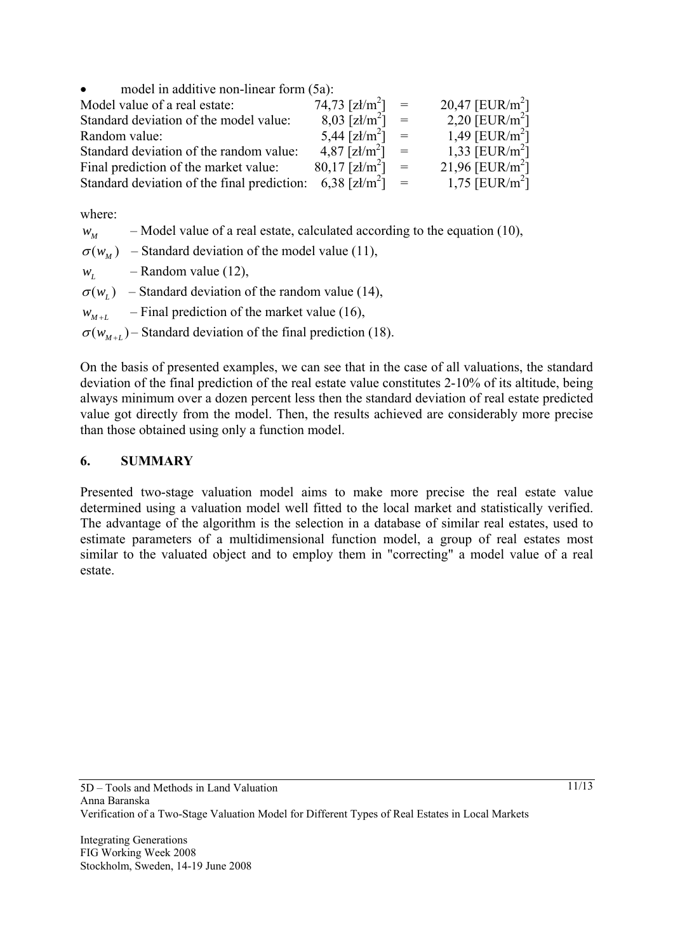| model in additive non-linear form (5a):<br>$\bullet$ |                                |                   |                             |
|------------------------------------------------------|--------------------------------|-------------------|-----------------------------|
| Model value of a real estate:                        | $74,73$ [zł/m <sup>2</sup> ] = |                   | 20,47 [ $EUR/m^2$ ]         |
| Standard deviation of the model value:               | $8,03$ [zł/m <sup>2</sup> ]    | $\alpha = \alpha$ | 2,20 [EUR/m <sup>2</sup> ]  |
| Random value:                                        | $5,44$ [zł/m <sup>2</sup> ] =  |                   | 1,49 [EUR/m <sup>2</sup> ]  |
| Standard deviation of the random value:              | $4,87$ [zł/m <sup>2</sup> ] =  |                   | 1,33 [EUR/m <sup>2</sup> ]  |
| Final prediction of the market value:                | $80,17$ [zł/m <sup>2</sup> ]   | $=$               | 21,96 [EUR/m <sup>2</sup> ] |
| Standard deviation of the final prediction:          | 6,38 [zł/m <sup>2</sup> ]      | $=$               | 1,75 [ $EUR/m^2$ ]          |

where:

- $w_M$  Model value of a real estate, calculated according to the equation (10),
- $\sigma(w_M)$  Standard deviation of the model value (11),
- $w_t$  Random value (12),
- $\sigma(w_i)$  Standard deviation of the random value (14),
- $w_{M+L}$  Final prediction of the market value (16),
- $\sigma(w_{M+L})$  Standard deviation of the final prediction (18).

On the basis of presented examples, we can see that in the case of all valuations, the standard deviation of the final prediction of the real estate value constitutes 2-10% of its altitude, being always minimum over a dozen percent less then the standard deviation of real estate predicted value got directly from the model. Then, the results achieved are considerably more precise than those obtained using only a function model.

#### **6. SUMMARY**

Presented two-stage valuation model aims to make more precise the real estate value determined using a valuation model well fitted to the local market and statistically verified. The advantage of the algorithm is the selection in a database of similar real estates, used to estimate parameters of a multidimensional function model, a group of real estates most similar to the valuated object and to employ them in "correcting" a model value of a real estate.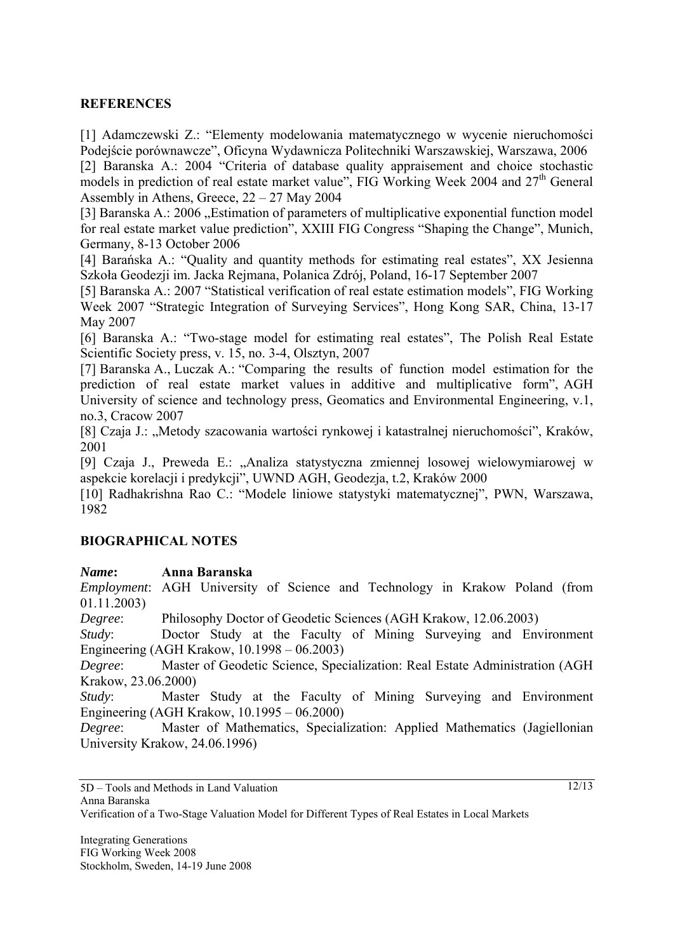## **REFERENCES**

[1] Adamczewski Z.: "Elementy modelowania matematycznego w wycenie nieruchomości Podejście porównawcze", Oficyna Wydawnicza Politechniki Warszawskiej, Warszawa, 2006

[2] Baranska A.: 2004 "Criteria of database quality appraisement and choice stochastic models in prediction of real estate market value", FIG Working Week 2004 and 27<sup>th</sup> General Assembly in Athens, Greece, 22 – 27 May 2004

[3] Baranska A.: 2006 "Estimation of parameters of multiplicative exponential function model for real estate market value prediction", XXIII FIG Congress "Shaping the Change", Munich, Germany, 8-13 October 2006

[4] Barańska A.: "Quality and quantity methods for estimating real estates", XX Jesienna Szkoła Geodezji im. Jacka Rejmana, Polanica Zdrój, Poland, 16-17 September 2007

[5] Baranska A.: 2007 "Statistical verification of real estate estimation models", FIG Working Week 2007 "Strategic Integration of Surveying Services", Hong Kong SAR, China, 13-17 May 2007

[6] Baranska A.: "Two-stage model for estimating real estates", The Polish Real Estate Scientific Society press, v. 15, no. 3-4, Olsztyn, 2007

[7] Baranska A., Luczak A.: "Comparing the results of function model estimation for the prediction of real estate market values in additive and multiplicative form", AGH University of science and technology press, Geomatics and Environmental Engineering, v.1, no.3, Cracow 2007

[8] Czaja J.: "Metody szacowania wartości rynkowej i katastralnej nieruchomości", Kraków, 2001

[9] Czaja J., Preweda E.: "Analiza statystyczna zmiennej losowej wielowymiarowej w aspekcie korelacji i predykcji", UWND AGH, Geodezja, t.2, Kraków 2000

[10] Radhakrishna Rao C.: "Modele liniowe statystyki matematycznej", PWN, Warszawa, 1982

## **BIOGRAPHICAL NOTES**

#### *Name***: Anna Baranska**

*Employment*: AGH University of Science and Technology in Krakow Poland (from 01.11.2003)

*Degree*: Philosophy Doctor of Geodetic Sciences (AGH Krakow, 12.06.2003)

*Study*: Doctor Study at the Faculty of Mining Surveying and Environment Engineering (AGH Krakow, 10.1998 – 06.2003)

*Degree*: Master of Geodetic Science, Specialization: Real Estate Administration (AGH Krakow, 23.06.2000)

*Study*: Master Study at the Faculty of Mining Surveying and Environment Engineering (AGH Krakow, 10.1995 – 06.2000)

*Degree*: Master of Mathematics, Specialization: Applied Mathematics (Jagiellonian University Krakow, 24.06.1996)

Anna Baranska

Verification of a Two-Stage Valuation Model for Different Types of Real Estates in Local Markets

Integrating Generations FIG Working Week 2008 Stockholm, Sweden, 14-19 June 2008

<sup>5</sup>D – Tools and Methods in Land Valuation